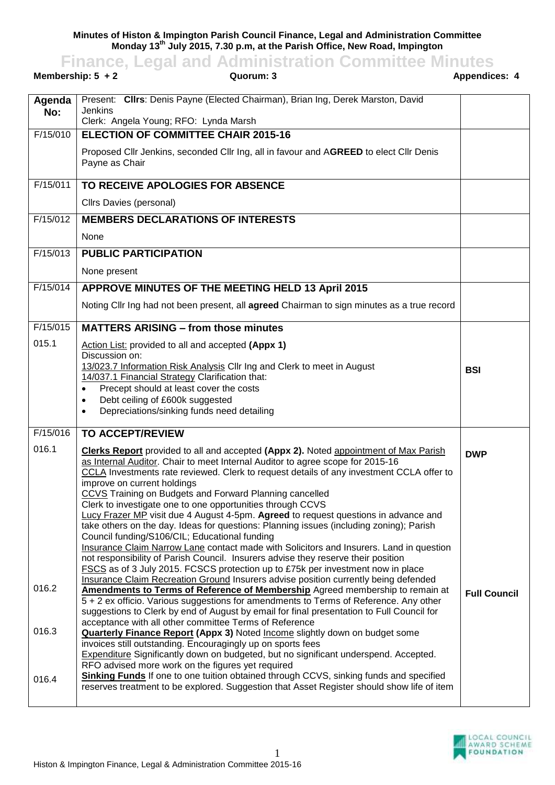**Minutes of Histon & Impington Parish Council Finance, Legal and Administration Committee Monday 13th July 2015, 7.30 p.m, at the Parish Office, New Road, Impington**

**Finance, Legal and Administration Committee Minutes**

| Membership: $5 + 2$<br>Quorum: 3 |                                                                                                                                                                                    | <b>Appendices: 4</b> |
|----------------------------------|------------------------------------------------------------------------------------------------------------------------------------------------------------------------------------|----------------------|
| Agenda<br>No:                    | Present: Clirs: Denis Payne (Elected Chairman), Brian Ing, Derek Marston, David<br><b>Jenkins</b><br>Clerk: Angela Young; RFO: Lynda Marsh                                         |                      |
| F/15/010                         | <b>ELECTION OF COMMITTEE CHAIR 2015-16</b>                                                                                                                                         |                      |
|                                  | Proposed Cllr Jenkins, seconded Cllr Ing, all in favour and AGREED to elect Cllr Denis<br>Payne as Chair                                                                           |                      |
| F/15/011                         | TO RECEIVE APOLOGIES FOR ABSENCE                                                                                                                                                   |                      |
|                                  | Cllrs Davies (personal)                                                                                                                                                            |                      |
| F/15/012                         | <b>MEMBERS DECLARATIONS OF INTERESTS</b>                                                                                                                                           |                      |
|                                  | None                                                                                                                                                                               |                      |
| F/15/013                         | <b>PUBLIC PARTICIPATION</b>                                                                                                                                                        |                      |
|                                  | None present                                                                                                                                                                       |                      |
| F/15/014                         | APPROVE MINUTES OF THE MEETING HELD 13 April 2015                                                                                                                                  |                      |
|                                  | Noting Cllr Ing had not been present, all agreed Chairman to sign minutes as a true record                                                                                         |                      |
| F/15/015                         | <b>MATTERS ARISING - from those minutes</b>                                                                                                                                        |                      |
| 015.1                            | Action List: provided to all and accepted (Appx 1)<br>Discussion on:                                                                                                               |                      |
|                                  | 13/023.7 Information Risk Analysis Cllr Ing and Clerk to meet in August                                                                                                            | <b>BSI</b>           |
|                                  | 14/037.1 Financial Strategy Clarification that:<br>Precept should at least cover the costs<br>$\bullet$                                                                            |                      |
|                                  | Debt ceiling of £600k suggested<br>$\bullet$                                                                                                                                       |                      |
|                                  | Depreciations/sinking funds need detailing<br>$\bullet$                                                                                                                            |                      |
| F/15/016                         | <b>TO ACCEPT/REVIEW</b>                                                                                                                                                            |                      |
| 016.1                            | <b>Clerks Report</b> provided to all and accepted (Appx 2). Noted appointment of Max Parish                                                                                        | <b>DWP</b>           |
|                                  | as Internal Auditor. Chair to meet Internal Auditor to agree scope for 2015-16<br>CCLA Investments rate reviewed. Clerk to request details of any investment CCLA offer to         |                      |
|                                  | improve on current holdings<br>CCVS Training on Budgets and Forward Planning cancelled                                                                                             |                      |
|                                  | Clerk to investigate one to one opportunities through CCVS                                                                                                                         |                      |
|                                  | Lucy Frazer MP visit due 4 August 4-5pm. Agreed to request questions in advance and<br>take others on the day. Ideas for questions: Planning issues (including zoning); Parish     |                      |
|                                  | Council funding/S106/CIL; Educational funding                                                                                                                                      |                      |
|                                  | Insurance Claim Narrow Lane contact made with Solicitors and Insurers. Land in question<br>not responsibility of Parish Council. Insurers advise they reserve their position       |                      |
|                                  | FSCS as of 3 July 2015. FCSCS protection up to £75k per investment now in place<br>Insurance Claim Recreation Ground Insurers advise position currently being defended             |                      |
| 016.2                            | Amendments to Terms of Reference of Membership Agreed membership to remain at                                                                                                      | <b>Full Council</b>  |
|                                  | 5 + 2 ex officio. Various suggestions for amendments to Terms of Reference. Any other<br>suggestions to Clerk by end of August by email for final presentation to Full Council for |                      |
| 016.3                            | acceptance with all other committee Terms of Reference                                                                                                                             |                      |
|                                  | <b>Quarterly Finance Report (Appx 3) Noted Income slightly down on budget some</b><br>invoices still outstanding. Encouragingly up on sports fees                                  |                      |
|                                  | Expenditure Significantly down on budgeted, but no significant underspend. Accepted.<br>RFO advised more work on the figures yet required                                          |                      |
| 016.4                            | <b>Sinking Funds</b> If one to one tuition obtained through CCVS, sinking funds and specified                                                                                      |                      |
|                                  | reserves treatment to be explored. Suggestion that Asset Register should show life of item                                                                                         |                      |